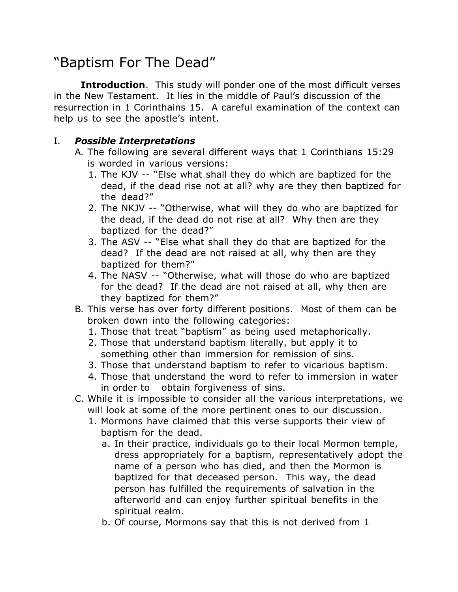## "Baptism For The Dead"

**Introduction**. This study will ponder one of the most difficult verses in the New Testament. It lies in the middle of Paul's discussion of the resurrection in 1 Corinthains 15. A careful examination of the context can help us to see the apostle's intent.

## I. *Possible Interpretations*

- A. The following are several different ways that 1 Corinthians 15:29 is worded in various versions:
	- 1. The KJV -- "Else what shall they do which are baptized for the dead, if the dead rise not at all? why are they then baptized for the dead?"
	- 2. The NKJV -- "Otherwise, what will they do who are baptized for the dead, if the dead do not rise at all? Why then are they baptized for the dead?"
	- 3. The ASV -- "Else what shall they do that are baptized for the dead? If the dead are not raised at all, why then are they baptized for them?"
	- 4. The NASV -- "Otherwise, what will those do who are baptized for the dead? If the dead are not raised at all, why then are they baptized for them?"
- B. This verse has over forty different positions. Most of them can be broken down into the following categories:
	- 1. Those that treat "baptism" as being used metaphorically.
	- 2. Those that understand baptism literally, but apply it to something other than immersion for remission of sins.
	- 3. Those that understand baptism to refer to vicarious baptism.
	- 4. Those that understand the word to refer to immersion in water in order to obtain forgiveness of sins.
- C. While it is impossible to consider all the various interpretations, we will look at some of the more pertinent ones to our discussion.
	- 1. Mormons have claimed that this verse supports their view of baptism for the dead.
		- a. In their practice, individuals go to their local Mormon temple, dress appropriately for a baptism, representatively adopt the name of a person who has died, and then the Mormon is baptized for that deceased person. This way, the dead person has fulfilled the requirements of salvation in the afterworld and can enjoy further spiritual benefits in the spiritual realm.
		- b. Of course, Mormons say that this is not derived from 1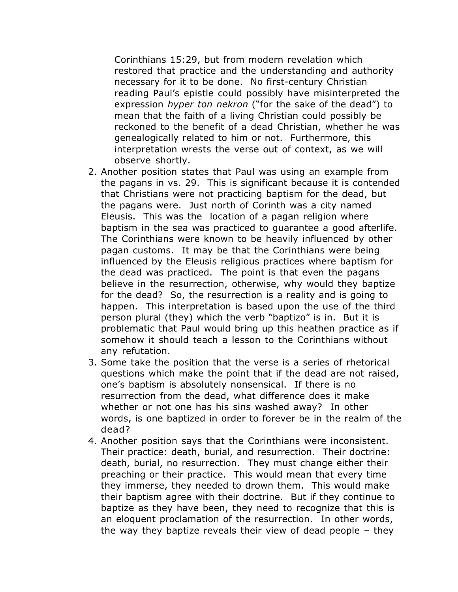Corinthians 15:29, but from modern revelation which restored that practice and the understanding and authority necessary for it to be done. No first-century Christian reading Paul's epistle could possibly have misinterpreted the expression *hyper ton nekron* ("for the sake of the dead") to mean that the faith of a living Christian could possibly be reckoned to the benefit of a dead Christian, whether he was genealogically related to him or not. Furthermore, this interpretation wrests the verse out of context, as we will observe shortly.

- 2. Another position states that Paul was using an example from the pagans in vs. 29. This is significant because it is contended that Christians were not practicing baptism for the dead, but the pagans were. Just north of Corinth was a city named Eleusis. This was the location of a pagan religion where baptism in the sea was practiced to guarantee a good afterlife. The Corinthians were known to be heavily influenced by other pagan customs. It may be that the Corinthians were being influenced by the Eleusis religious practices where baptism for the dead was practiced. The point is that even the pagans believe in the resurrection, otherwise, why would they baptize for the dead? So, the resurrection is a reality and is going to happen. This interpretation is based upon the use of the third person plural (they) which the verb "baptizo" is in. But it is problematic that Paul would bring up this heathen practice as if somehow it should teach a lesson to the Corinthians without any refutation.
- 3. Some take the position that the verse is a series of rhetorical questions which make the point that if the dead are not raised, one's baptism is absolutely nonsensical. If there is no resurrection from the dead, what difference does it make whether or not one has his sins washed away? In other words, is one baptized in order to forever be in the realm of the dead?
- 4. Another position says that the Corinthians were inconsistent. Their practice: death, burial, and resurrection. Their doctrine: death, burial, no resurrection. They must change either their preaching or their practice. This would mean that every time they immerse, they needed to drown them. This would make their baptism agree with their doctrine. But if they continue to baptize as they have been, they need to recognize that this is an eloquent proclamation of the resurrection. In other words, the way they baptize reveals their view of dead people – they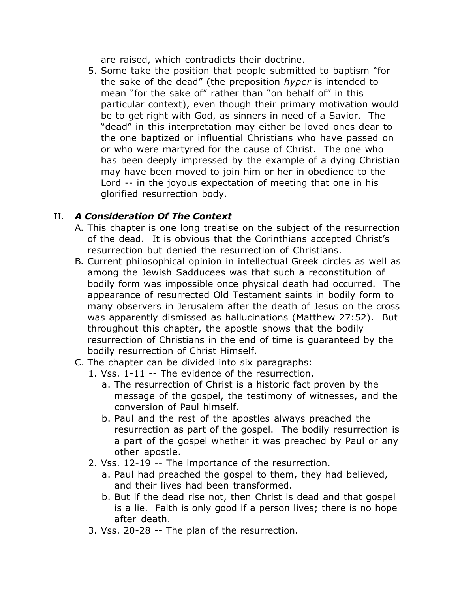are raised, which contradicts their doctrine.

5. Some take the position that people submitted to baptism "for the sake of the dead" (the preposition *hyper* is intended to mean "for the sake of" rather than "on behalf of" in this particular context), even though their primary motivation would be to get right with God, as sinners in need of a Savior. The "dead" in this interpretation may either be loved ones dear to the one baptized or influential Christians who have passed on or who were martyred for the cause of Christ. The one who has been deeply impressed by the example of a dying Christian may have been moved to join him or her in obedience to the Lord -- in the joyous expectation of meeting that one in his glorified resurrection body.

## II. *A Consideration Of The Context*

- A. This chapter is one long treatise on the subject of the resurrection of the dead. It is obvious that the Corinthians accepted Christ's resurrection but denied the resurrection of Christians.
- B. Current philosophical opinion in intellectual Greek circles as well as among the Jewish Sadducees was that such a reconstitution of bodily form was impossible once physical death had occurred. The appearance of resurrected Old Testament saints in bodily form to many observers in Jerusalem after the death of Jesus on the cross was apparently dismissed as hallucinations (Matthew 27:52). But throughout this chapter, the apostle shows that the bodily resurrection of Christians in the end of time is guaranteed by the bodily resurrection of Christ Himself.
- C. The chapter can be divided into six paragraphs:
	- 1. Vss. 1-11 -- The evidence of the resurrection.
		- a. The resurrection of Christ is a historic fact proven by the message of the gospel, the testimony of witnesses, and the conversion of Paul himself.
		- b. Paul and the rest of the apostles always preached the resurrection as part of the gospel. The bodily resurrection is a part of the gospel whether it was preached by Paul or any other apostle.
	- 2. Vss. 12-19 -- The importance of the resurrection.
		- a. Paul had preached the gospel to them, they had believed, and their lives had been transformed.
		- b. But if the dead rise not, then Christ is dead and that gospel is a lie. Faith is only good if a person lives; there is no hope after death.
	- 3. Vss. 20-28 -- The plan of the resurrection.